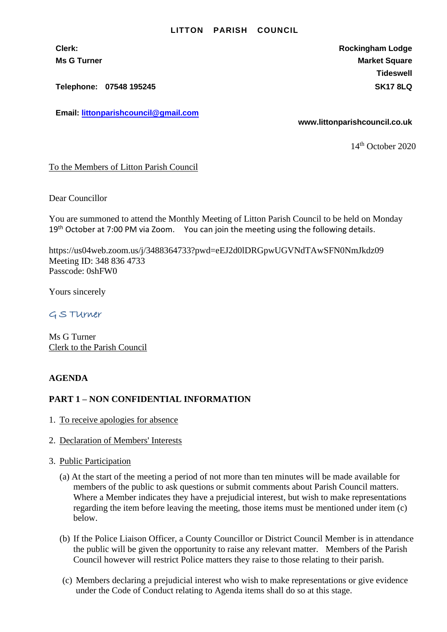#### **LITTON PARISH COUNCIL**

**Clerk: Rockingham Lodge Ms G Turner Market Square** Market Square Market Square Market Square **Tideswell**

**Telephone: 07548 195245 SK17 8LQ**

**Email: [littonparishcouncil@gmail.com](mailto:littonparishcouncil@gmail.com)**

**www.littonparishcouncil.co.uk**

14 th October 2020

### To the Members of Litton Parish Council

Dear Councillor

You are summoned to attend the Monthly Meeting of Litton Parish Council to be held on Monday  $19<sup>th</sup>$  October at 7:00 PM via Zoom. You can join the meeting using the following details.

https://us04web.zoom.us/j/3488364733?pwd=eEJ2d0lDRGpwUGVNdTAwSFN0NmJkdz09 Meeting ID: 348 836 4733 Passcode: 0shFW0

Yours sincerely

## G S TUrner

Ms G Turner Clerk to the Parish Council

### **AGENDA**

### **PART 1 – NON CONFIDENTIAL INFORMATION**

- 1. To receive apologies for absence
- 2. Declaration of Members' Interests
- 3. Public Participation
	- (a) At the start of the meeting a period of not more than ten minutes will be made available for members of the public to ask questions or submit comments about Parish Council matters. Where a Member indicates they have a prejudicial interest, but wish to make representations regarding the item before leaving the meeting, those items must be mentioned under item (c) below.
	- (b) If the Police Liaison Officer, a County Councillor or District Council Member is in attendance the public will be given the opportunity to raise any relevant matter. Members of the Parish Council however will restrict Police matters they raise to those relating to their parish.
	- (c) Members declaring a prejudicial interest who wish to make representations or give evidence under the Code of Conduct relating to Agenda items shall do so at this stage.